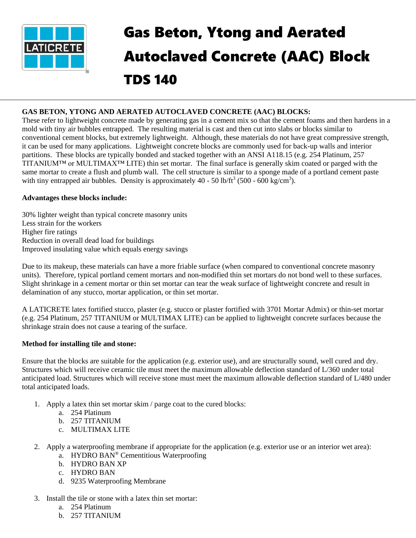

# Gas Beton, Ytong and Aerated Autoclaved Concrete (AAC) Block TDS 140

## **GAS BETON, YTONG AND AERATED AUTOCLAVED CONCRETE (AAC) BLOCKS:**

These refer to lightweight concrete made by generating gas in a cement mix so that the cement foams and then hardens in a mold with tiny air bubbles entrapped. The resulting material is cast and then cut into slabs or blocks similar to conventional cement blocks, but extremely lightweight. Although, these materials do not have great compressive strength, it can be used for many applications. Lightweight concrete blocks are commonly used for back-up walls and interior partitions. These blocks are typically bonded and stacked together with an ANSI A118.15 (e.g. 254 Platinum, 257 TITANIUM™ or MULTIMAX™ LITE) thin set mortar. The final surface is generally skim coated or parged with the same mortar to create a flush and plumb wall. The cell structure is similar to a sponge made of a portland cement paste with tiny entrapped air bubbles. Density is approximately  $40 - 50$  lb/ft<sup>3</sup> (500 - 600 kg/cm<sup>3</sup>).

#### **Advantages these blocks include:**

30% lighter weight than typical concrete masonry units Less strain for the workers Higher fire ratings Reduction in overall dead load for buildings Improved insulating value which equals energy savings

Due to its makeup, these materials can have a more friable surface (when compared to conventional concrete masonry units). Therefore, typical portland cement mortars and non-modified thin set mortars do not bond well to these surfaces. Slight shrinkage in a cement mortar or thin set mortar can tear the weak surface of lightweight concrete and result in delamination of any stucco, mortar application, or thin set mortar.

A LATICRETE latex fortified stucco, plaster (e.g. stucco or plaster fortified with 3701 Mortar Admix) or thin-set mortar (e.g. 254 Platinum, 257 TITANIUM or MULTIMAX LITE) can be applied to lightweight concrete surfaces because the shrinkage strain does not cause a tearing of the surface.

### **Method for installing tile and stone:**

Ensure that the blocks are suitable for the application (e.g. exterior use), and are structurally sound, well cured and dry. Structures which will receive ceramic tile must meet the maximum allowable deflection standard of L/360 under total anticipated load. Structures which will receive stone must meet the maximum allowable deflection standard of L/480 under total anticipated loads.

- 1. Apply a latex thin set mortar skim / parge coat to the cured blocks:
	- a. 254 Platinum
	- b. 257 TITANIUM
	- c. MULTIMAX LITE
- 2. Apply a waterproofing membrane if appropriate for the application (e.g. exterior use or an interior wet area):
	- a. HYDRO BAN® Cementitious Waterproofing
	- b. HYDRO BAN XP
	- c. HYDRO BAN
	- d. 9235 Waterproofing Membrane
- 3. Install the tile or stone with a latex thin set mortar:
	- a. 254 Platinum
	- b. 257 TITANIUM